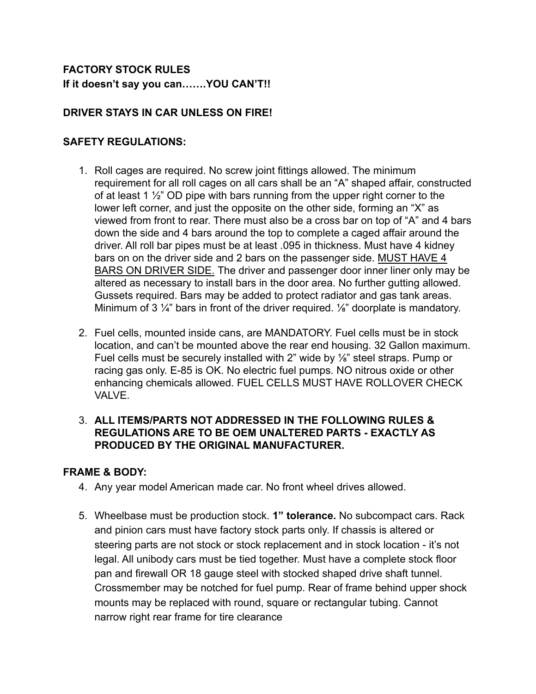# **FACTORY STOCK RULES If it doesn't say you can…….YOU CAN'T!!**

# **DRIVER STAYS IN CAR UNLESS ON FIRE!**

# **SAFETY REGULATIONS:**

- 1. Roll cages are required. No screw joint fittings allowed. The minimum requirement for all roll cages on all cars shall be an "A" shaped affair, constructed of at least 1  $\frac{1}{2}$ " OD pipe with bars running from the upper right corner to the lower left corner, and just the opposite on the other side, forming an "X" as viewed from front to rear. There must also be a cross bar on top of "A" and 4 bars down the side and 4 bars around the top to complete a caged affair around the driver. All roll bar pipes must be at least .095 in thickness. Must have 4 kidney bars on on the driver side and 2 bars on the passenger side. MUST HAVE 4 BARS ON DRIVER SIDE. The driver and passenger door inner liner only may be altered as necessary to install bars in the door area. No further gutting allowed. Gussets required. Bars may be added to protect radiator and gas tank areas. Minimum of 3  $\frac{1}{4}$ " bars in front of the driver required.  $\frac{1}{8}$ " doorplate is mandatory.
- 2. Fuel cells, mounted inside cans, are MANDATORY. Fuel cells must be in stock location, and can't be mounted above the rear end housing. 32 Gallon maximum. Fuel cells must be securely installed with 2" wide by ⅛" steel straps. Pump or racing gas only. E-85 is OK. No electric fuel pumps. NO nitrous oxide or other enhancing chemicals allowed. FUEL CELLS MUST HAVE ROLLOVER CHECK VALVE.

### 3. **ALL ITEMS/PARTS NOT ADDRESSED IN THE FOLLOWING RULES & REGULATIONS ARE TO BE OEM UNALTERED PARTS - EXACTLY AS PRODUCED BY THE ORIGINAL MANUFACTURER.**

### **FRAME & BODY:**

- 4. Any year model American made car. No front wheel drives allowed.
- 5. Wheelbase must be production stock. **1" tolerance.** No subcompact cars. Rack and pinion cars must have factory stock parts only. If chassis is altered or steering parts are not stock or stock replacement and in stock location - it's not legal. All unibody cars must be tied together. Must have a complete stock floor pan and firewall OR 18 gauge steel with stocked shaped drive shaft tunnel. Crossmember may be notched for fuel pump. Rear of frame behind upper shock mounts may be replaced with round, square or rectangular tubing. Cannot narrow right rear frame for tire clearance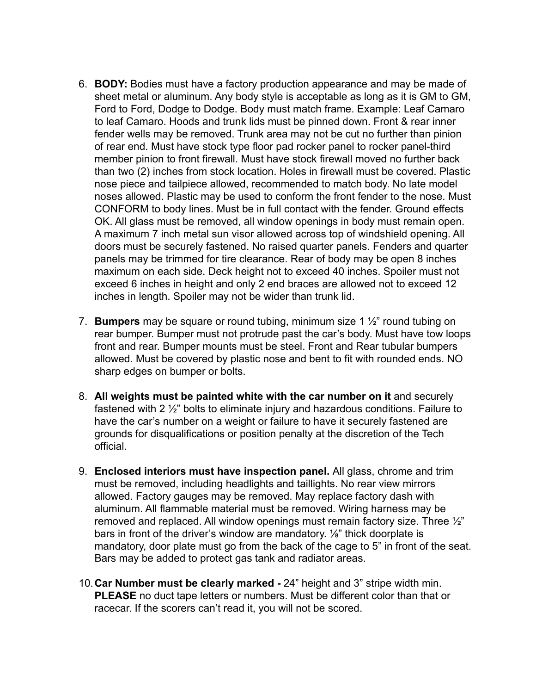- 6. **BODY:** Bodies must have a factory production appearance and may be made of sheet metal or aluminum. Any body style is acceptable as long as it is GM to GM, Ford to Ford, Dodge to Dodge. Body must match frame. Example: Leaf Camaro to leaf Camaro. Hoods and trunk lids must be pinned down. Front & rear inner fender wells may be removed. Trunk area may not be cut no further than pinion of rear end. Must have stock type floor pad rocker panel to rocker panel-third member pinion to front firewall. Must have stock firewall moved no further back than two (2) inches from stock location. Holes in firewall must be covered. Plastic nose piece and tailpiece allowed, recommended to match body. No late model noses allowed. Plastic may be used to conform the front fender to the nose. Must CONFORM to body lines. Must be in full contact with the fender. Ground effects OK. All glass must be removed, all window openings in body must remain open. A maximum 7 inch metal sun visor allowed across top of windshield opening. All doors must be securely fastened. No raised quarter panels. Fenders and quarter panels may be trimmed for tire clearance. Rear of body may be open 8 inches maximum on each side. Deck height not to exceed 40 inches. Spoiler must not exceed 6 inches in height and only 2 end braces are allowed not to exceed 12 inches in length. Spoiler may not be wider than trunk lid.
- 7. **Bumpers** may be square or round tubing, minimum size 1 ½" round tubing on rear bumper. Bumper must not protrude past the car's body. Must have tow loops front and rear. Bumper mounts must be steel. Front and Rear tubular bumpers allowed. Must be covered by plastic nose and bent to fit with rounded ends. NO sharp edges on bumper or bolts.
- 8. **All weights must be painted white with the car number on it** and securely fastened with 2 ½" bolts to eliminate injury and hazardous conditions. Failure to have the car's number on a weight or failure to have it securely fastened are grounds for disqualifications or position penalty at the discretion of the Tech official.
- 9. **Enclosed interiors must have inspection panel.** All glass, chrome and trim must be removed, including headlights and taillights. No rear view mirrors allowed. Factory gauges may be removed. May replace factory dash with aluminum. All flammable material must be removed. Wiring harness may be removed and replaced. All window openings must remain factory size. Three ½" bars in front of the driver's window are mandatory. ⅛" thick doorplate is mandatory, door plate must go from the back of the cage to 5" in front of the seat. Bars may be added to protect gas tank and radiator areas.
- 10.**Car Number must be clearly marked -** 24" height and 3" stripe width min. **PLEASE** no duct tape letters or numbers. Must be different color than that or racecar. If the scorers can't read it, you will not be scored.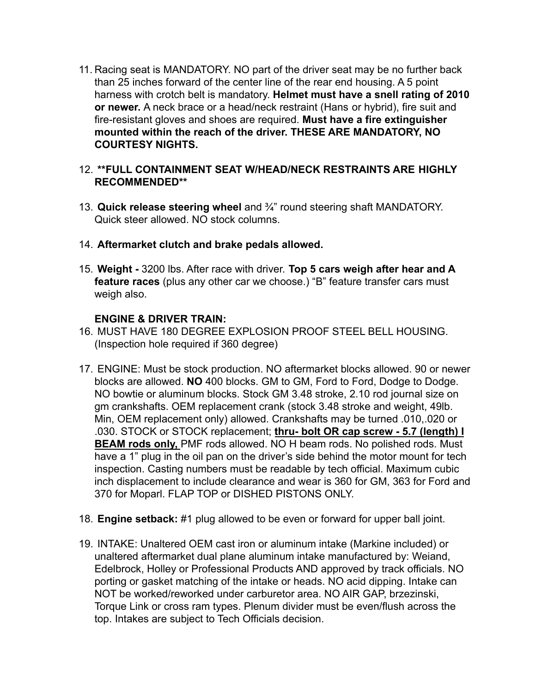11. Racing seat is MANDATORY. NO part of the driver seat may be no further back than 25 inches forward of the center line of the rear end housing. A 5 point harness with crotch belt is mandatory. **Helmet must have a snell rating of 2010 or newer.** A neck brace or a head/neck restraint (Hans or hybrid), fire suit and fire-resistant gloves and shoes are required. **Must have a fire extinguisher mounted within the reach of the driver. THESE ARE MANDATORY, NO COURTESY NIGHTS.**

### 12. **\*\*FULL CONTAINMENT SEAT W/HEAD/NECK RESTRAINTS ARE HIGHLY RECOMMENDED\*\***

- 13. **Quick release steering wheel** and ¾" round steering shaft MANDATORY. Quick steer allowed. NO stock columns.
- 14. **Aftermarket clutch and brake pedals allowed.**
- 15. **Weight -** 3200 lbs. After race with driver. **Top 5 cars weigh after hear and A feature races** (plus any other car we choose.) "B" feature transfer cars must weigh also.

### **ENGINE & DRIVER TRAIN:**

- 16. MUST HAVE 180 DEGREE EXPLOSION PROOF STEEL BELL HOUSING. (Inspection hole required if 360 degree)
- 17. ENGINE: Must be stock production. NO aftermarket blocks allowed. 90 or newer blocks are allowed. **NO** 400 blocks. GM to GM, Ford to Ford, Dodge to Dodge. NO bowtie or aluminum blocks. Stock GM 3.48 stroke, 2.10 rod journal size on gm crankshafts. OEM replacement crank (stock 3.48 stroke and weight, 49lb. Min, OEM replacement only) allowed. Crankshafts may be turned .010,.020 or .030. STOCK or STOCK replacement; **thru- bolt OR cap screw - 5.7 (length) I BEAM rods only,** PMF rods allowed. NO H beam rods. No polished rods. Must have a 1" plug in the oil pan on the driver's side behind the motor mount for tech inspection. Casting numbers must be readable by tech official. Maximum cubic inch displacement to include clearance and wear is 360 for GM, 363 for Ford and 370 for Moparl. FLAP TOP or DISHED PISTONS ONLY.
- 18. **Engine setback:** #1 plug allowed to be even or forward for upper ball joint.
- 19. INTAKE: Unaltered OEM cast iron or aluminum intake (Markine included) or unaltered aftermarket dual plane aluminum intake manufactured by: Weiand, Edelbrock, Holley or Professional Products AND approved by track officials. NO porting or gasket matching of the intake or heads. NO acid dipping. Intake can NOT be worked/reworked under carburetor area. NO AIR GAP, brzezinski, Torque Link or cross ram types. Plenum divider must be even/flush across the top. Intakes are subject to Tech Officials decision.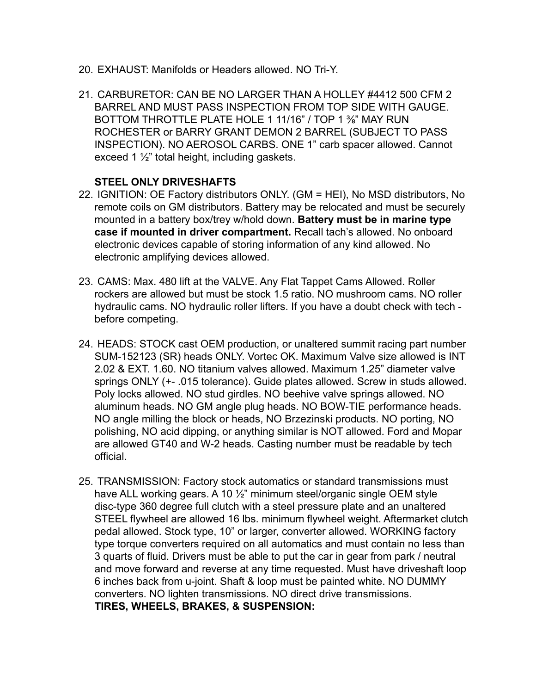- 20. EXHAUST: Manifolds or Headers allowed. NO Tri-Y.
- 21. CARBURETOR: CAN BE NO LARGER THAN A HOLLEY #4412 500 CFM 2 BARREL AND MUST PASS INSPECTION FROM TOP SIDE WITH GAUGE. BOTTOM THROTTLE PLATE HOLE 1 11/16" / TOP 1 ⅜" MAY RUN ROCHESTER or BARRY GRANT DEMON 2 BARREL (SUBJECT TO PASS INSPECTION). NO AEROSOL CARBS. ONE 1" carb spacer allowed. Cannot exceed 1 ½" total height, including gaskets.

### **STEEL ONLY DRIVESHAFTS**

- 22. IGNITION: OE Factory distributors ONLY. (GM = HEI), No MSD distributors, No remote coils on GM distributors. Battery may be relocated and must be securely mounted in a battery box/trey w/hold down. **Battery must be in marine type case if mounted in driver compartment.** Recall tach's allowed. No onboard electronic devices capable of storing information of any kind allowed. No electronic amplifying devices allowed.
- 23. CAMS: Max. 480 lift at the VALVE. Any Flat Tappet Cams Allowed. Roller rockers are allowed but must be stock 1.5 ratio. NO mushroom cams. NO roller hydraulic cams. NO hydraulic roller lifters. If you have a doubt check with tech before competing.
- 24. HEADS: STOCK cast OEM production, or unaltered summit racing part number SUM-152123 (SR) heads ONLY. Vortec OK. Maximum Valve size allowed is INT 2.02 & EXT. 1.60. NO titanium valves allowed. Maximum 1.25" diameter valve springs ONLY (+- .015 tolerance). Guide plates allowed. Screw in studs allowed. Poly locks allowed. NO stud girdles. NO beehive valve springs allowed. NO aluminum heads. NO GM angle plug heads. NO BOW-TIE performance heads. NO angle milling the block or heads, NO Brzezinski products. NO porting, NO polishing, NO acid dipping, or anything similar is NOT allowed. Ford and Mopar are allowed GT40 and W-2 heads. Casting number must be readable by tech official.
- 25. TRANSMISSION: Factory stock automatics or standard transmissions must have ALL working gears. A 10 <sup>1/2"</sup> minimum steel/organic single OEM style disc-type 360 degree full clutch with a steel pressure plate and an unaltered STEEL flywheel are allowed 16 lbs. minimum flywheel weight. Aftermarket clutch pedal allowed. Stock type, 10" or larger, converter allowed. WORKING factory type torque converters required on all automatics and must contain no less than 3 quarts of fluid. Drivers must be able to put the car in gear from park / neutral and move forward and reverse at any time requested. Must have driveshaft loop 6 inches back from u-joint. Shaft & loop must be painted white. NO DUMMY converters. NO lighten transmissions. NO direct drive transmissions. **TIRES, WHEELS, BRAKES, & SUSPENSION:**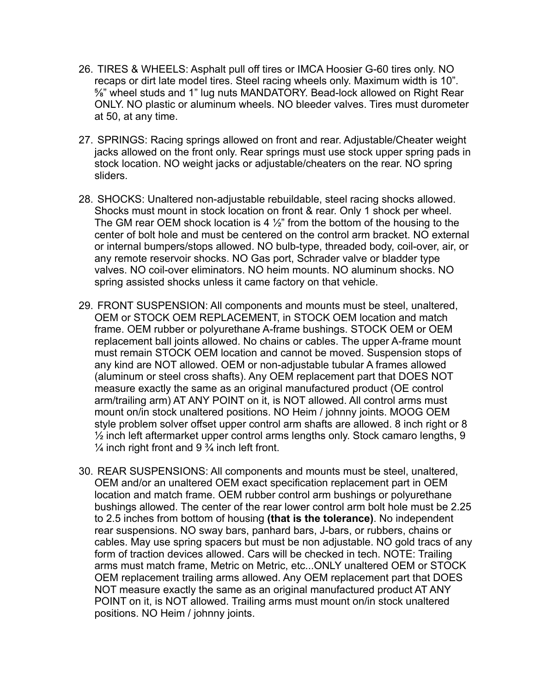- 26. TIRES & WHEELS: Asphalt pull off tires or IMCA Hoosier G-60 tires only. NO recaps or dirt late model tires. Steel racing wheels only. Maximum width is 10". ⅝" wheel studs and 1" lug nuts MANDATORY. Bead-lock allowed on Right Rear ONLY. NO plastic or aluminum wheels. NO bleeder valves. Tires must durometer at 50, at any time.
- 27. SPRINGS: Racing springs allowed on front and rear. Adjustable/Cheater weight jacks allowed on the front only. Rear springs must use stock upper spring pads in stock location. NO weight jacks or adjustable/cheaters on the rear. NO spring sliders.
- 28. SHOCKS: Unaltered non-adjustable rebuildable, steel racing shocks allowed. Shocks must mount in stock location on front & rear. Only 1 shock per wheel. The GM rear OEM shock location is 4  $\frac{1}{2}$ " from the bottom of the housing to the center of bolt hole and must be centered on the control arm bracket. NO external or internal bumpers/stops allowed. NO bulb-type, threaded body, coil-over, air, or any remote reservoir shocks. NO Gas port, Schrader valve or bladder type valves. NO coil-over eliminators. NO heim mounts. NO aluminum shocks. NO spring assisted shocks unless it came factory on that vehicle.
- 29. FRONT SUSPENSION: All components and mounts must be steel, unaltered, OEM or STOCK OEM REPLACEMENT, in STOCK OEM location and match frame. OEM rubber or polyurethane A-frame bushings. STOCK OEM or OEM replacement ball joints allowed. No chains or cables. The upper A-frame mount must remain STOCK OEM location and cannot be moved. Suspension stops of any kind are NOT allowed. OEM or non-adjustable tubular A frames allowed (aluminum or steel cross shafts). Any OEM replacement part that DOES NOT measure exactly the same as an original manufactured product (OE control arm/trailing arm) AT ANY POINT on it, is NOT allowed. All control arms must mount on/in stock unaltered positions. NO Heim / johnny joints. MOOG OEM style problem solver offset upper control arm shafts are allowed. 8 inch right or 8 ½ inch left aftermarket upper control arms lengths only. Stock camaro lengths, 9  $\frac{1}{4}$  inch right front and 9  $\frac{3}{4}$  inch left front.
- 30. REAR SUSPENSIONS: All components and mounts must be steel, unaltered, OEM and/or an unaltered OEM exact specification replacement part in OEM location and match frame. OEM rubber control arm bushings or polyurethane bushings allowed. The center of the rear lower control arm bolt hole must be 2.25 to 2.5 inches from bottom of housing **(that is the tolerance)**. No independent rear suspensions. NO sway bars, panhard bars, J-bars, or rubbers, chains or cables. May use spring spacers but must be non adjustable. NO gold tracs of any form of traction devices allowed. Cars will be checked in tech. NOTE: Trailing arms must match frame, Metric on Metric, etc...ONLY unaltered OEM or STOCK OEM replacement trailing arms allowed. Any OEM replacement part that DOES NOT measure exactly the same as an original manufactured product AT ANY POINT on it, is NOT allowed. Trailing arms must mount on/in stock unaltered positions. NO Heim / johnny joints.